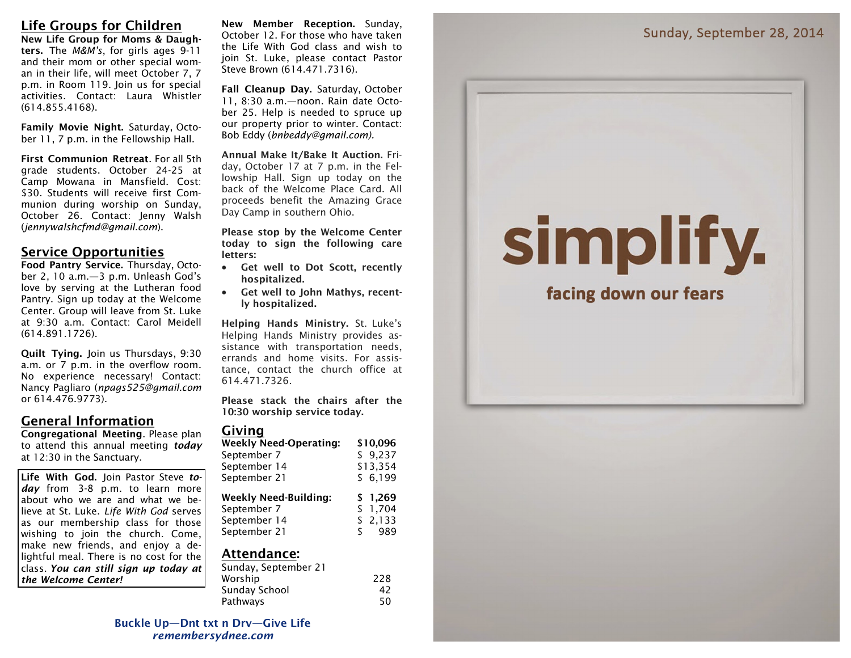**New Life Group for Moms & Daughters.** The *M&M's*, for girls ages 9-11 and their mom or other special woman in their life, will meet October 7, 7 p.m. in Room 119. Join us for special activities. Contact: Laura Whistler (614.855.4168).

**Family Movie Night.** Saturday, October 11, 7 p.m. in the Fellowship Hall.

**First Communion Retreat**. For all 5th grade students. October 24-25 at Camp Mowana in Mansfield. Cost: \$30. Students will receive first Communion during worship on Sunday, October 26. Contact: Jenny Walsh (*jennywalshcfmd@gmail.com*).

# **Service Opportunities**

**Food Pantry Service.** Thursday, October 2, 10 a.m.—3 p.m. Unleash God's love by serving at the Lutheran food Pantry. Sign up today at the Welcome Center. Group will leave from St. Luke at 9:30 a.m. Contact: Carol Meidell (614.891.1726).

**Quilt Tying.** Join us Thursdays, 9:30 a.m. or 7 p.m. in the overflow room. No experience necessary! Contact: Nancy Pagliaro (*npags525@gmail.com* or 614.476.9773).

# **General Information**

**Congregational Meeting**. Please plan to attend this annual meeting *today*  at 12:30 in the Sanctuary.

**Life With God.** Join Pastor Steve *today* from 3-8 p.m. to learn more about who we are and what we believe at St. Luke. *Life With God* serves as our membership class for those wishing to join the church. Come, make new friends, and enjoy a delightful meal. There is no cost for the class. *You can still sign up today at the Welcome Center!*

**New Member Reception.** Sunday, October 12. For those who have taken the Life With God class and wish to join St. Luke, please contact Pastor Steve Brown (614.471.7316).

**Fall Cleanup Day.** Saturday, October 11, 8:30 a.m.—noon. Rain date October 25. Help is needed to spruce up our property prior to winter. Contact: Bob Eddy (*bnbeddy@gmail.com).*

**Annual Make It/Bake It Auction.** Friday, October 17 at 7 p.m. in the Fellowship Hall. Sign up today on the back of the Welcome Place Card. All proceeds benefit the Amazing Grace Day Camp in southern Ohio.

**Please stop by the Welcome Center today to sign the following care letters:**

- **Get well to Dot Scott, recently hospitalized.**
- **Get well to John Mathys, recently hospitalized.**

**Helping Hands Ministry.** St. Luke's Helping Hands Ministry provides assistance with transportation needs, errands and home visits. For assistance, contact the church office at 614.471.7326.

**Please stack the chairs after the 10:30 worship service today.**

### **Giving**

| <b>Weekly Need-Operating:</b> | \$10,096  |
|-------------------------------|-----------|
| September 7                   | \$9,237   |
| September 14                  | \$13,354  |
| September 21                  | \$6,199   |
| <b>Weekly Need-Building:</b>  | \$1,269   |
| September 7                   | \$1,704   |
|                               |           |
| September 14                  | \$2,133   |
| September 21                  | \$<br>989 |

### **Attendance:**

| Sunday, September 21 |     |
|----------------------|-----|
| Worship              | 228 |
| Sunday School        | 42  |
| Pathways             | 50  |

# facing down our fears

simplify.

**Buckle Up—Dnt txt n Drv—Give Life** *remembersydnee.com*